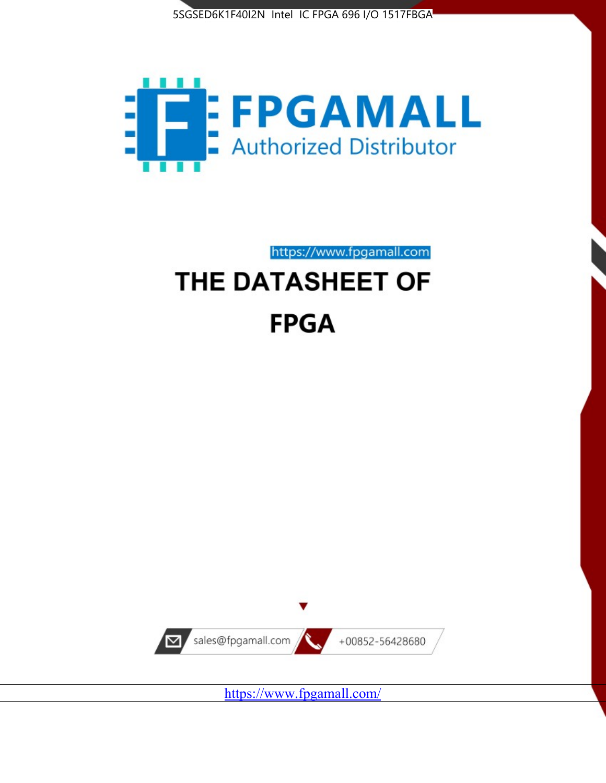



https://www.fpgamall.com

# THE DATASHEET OF **FPGA**



<https://www.fpgamall.com/>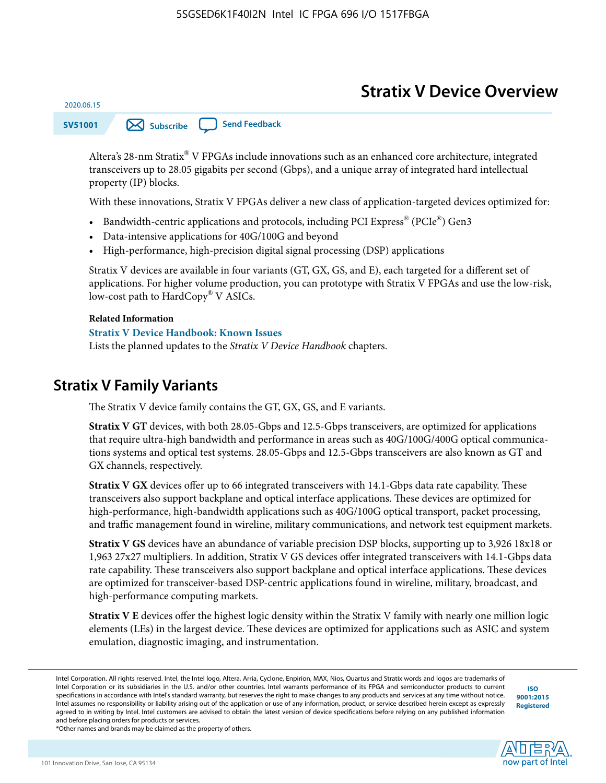# **Stratix V Device Overview**



Altera's 28-nm Stratix® V FPGAs include innovations such as an enhanced core architecture, integrated transceivers up to 28.05 gigabits per second (Gbps), and a unique array of integrated hard intellectual property (IP) blocks.

With these innovations, Stratix V FPGAs deliver a new class of application-targeted devices optimized for:

- Bandwidth-centric applications and protocols, including PCI Express® (PCIe®) Gen3
- Data-intensive applications for 40G/100G and beyond
- High-performance, high-precision digital signal processing (DSP) applications

Stratix V devices are available in four variants (GT, GX, GS, and E), each targeted for a different set of applications. For higher volume production, you can prototype with Stratix V FPGAs and use the low-risk, low-cost path to HardCopy® V ASICs.

#### **Related Information**

2020.06.15

#### **[Stratix V Device Handbook: Known Issues](http://www.altera.com/support/kdb/solutions/rd08242010_83.html)**

Lists the planned updates to the *Stratix V Device Handbook* chapters.

## **Stratix V Family Variants**

The Stratix V device family contains the GT, GX, GS, and E variants.

**Stratix V GT** devices, with both 28.05-Gbps and 12.5-Gbps transceivers, are optimized for applications that require ultra-high bandwidth and performance in areas such as 40G/100G/400G optical communica‐ tions systems and optical test systems. 28.05-Gbps and 12.5-Gbps transceivers are also known as GT and GX channels, respectively.

**Stratix V GX** devices offer up to 66 integrated transceivers with 14.1-Gbps data rate capability. These transceivers also support backplane and optical interface applications. These devices are optimized for high-performance, high-bandwidth applications such as 40G/100G optical transport, packet processing, and traffic management found in wireline, military communications, and network test equipment markets.

**Stratix V GS** devices have an abundance of variable precision DSP blocks, supporting up to 3,926 18x18 or 1,963 27x27 multipliers. In addition, Stratix V GS devices offer integrated transceivers with 14.1-Gbps data rate capability. These transceivers also support backplane and optical interface applications. These devices are optimized for transceiver-based DSP-centric applications found in wireline, military, broadcast, and high-performance computing markets.

**Stratix V E** devices offer the highest logic density within the Stratix V family with nearly one million logic elements (LEs) in the largest device. These devices are optimized for applications such as ASIC and system emulation, diagnostic imaging, and instrumentation.

**[ISO](http://www.altera.com/support/devices/reliability/certifications/rel-certifications.html) [9001:2015](http://www.altera.com/support/devices/reliability/certifications/rel-certifications.html) [Registered](http://www.altera.com/support/devices/reliability/certifications/rel-certifications.html)**

**low part of Intel** 

\*Other names and brands may be claimed as the property of others.

Intel Corporation. All rights reserved. Intel, the Intel logo, Altera, Arria, Cyclone, Enpirion, MAX, Nios, Quartus and Stratix words and logos are trademarks of Intel Corporation or its subsidiaries in the U.S. and/or other countries. Intel warrants performance of its FPGA and semiconductor products to current specifications in accordance with Intel's standard warranty, but reserves the right to make changes to any products and services at any time without notice. Intel assumes no responsibility or liability arising out of the application or use of any information, product, or service described herein except as expressly agreed to in writing by Intel. Intel customers are advised to obtain the latest version of device specifications before relying on any published information and before placing orders for products or services.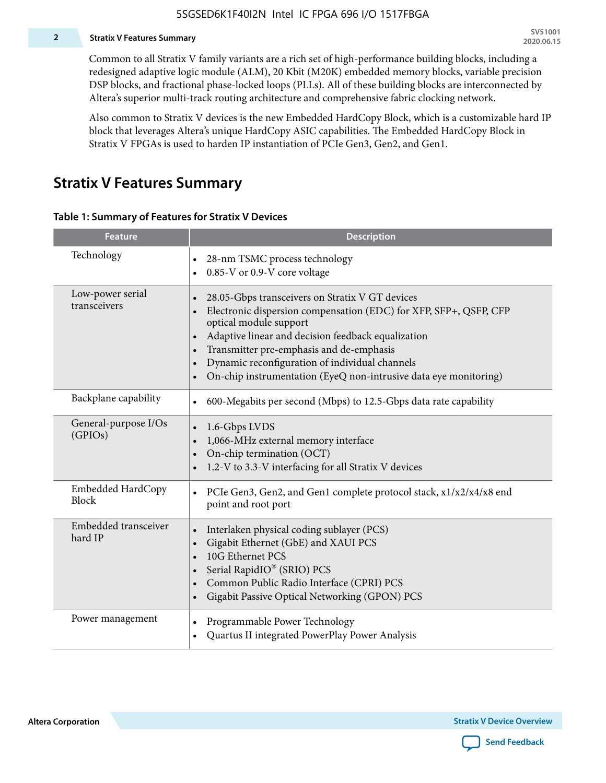### **2 Stratix V Features Summary**

Common to all Stratix V family variants are a rich set of high-performance building blocks, including a redesigned adaptive logic module (ALM), 20 Kbit (M20K) embedded memory blocks, variable precision DSP blocks, and fractional phase-locked loops (PLLs). All of these building blocks are interconnected by Altera's superior multi-track routing architecture and comprehensive fabric clocking network.

Also common to Stratix V devices is the new Embedded HardCopy Block, which is a customizable hard IP block that leverages Altera's unique HardCopy ASIC capabilities. The Embedded HardCopy Block in Stratix V FPGAs is used to harden IP instantiation of PCIe Gen3, Gen2, and Gen1.

# **Stratix V Features Summary**

#### **Table 1: Summary of Features for Stratix V Devices**

| <b>Feature</b>                    | <b>Description</b>                                                                                                                                                                                                                                                                                                                                                                                                         |
|-----------------------------------|----------------------------------------------------------------------------------------------------------------------------------------------------------------------------------------------------------------------------------------------------------------------------------------------------------------------------------------------------------------------------------------------------------------------------|
| Technology                        | 28-nm TSMC process technology<br>$\bullet$<br>0.85-V or 0.9-V core voltage                                                                                                                                                                                                                                                                                                                                                 |
| Low-power serial<br>transceivers  | 28.05-Gbps transceivers on Stratix V GT devices<br>$\bullet$<br>Electronic dispersion compensation (EDC) for XFP, SFP+, QSFP, CFP<br>optical module support<br>Adaptive linear and decision feedback equalization<br>$\bullet$<br>Transmitter pre-emphasis and de-emphasis<br>Dynamic reconfiguration of individual channels<br>$\bullet$<br>On-chip instrumentation (EyeQ non-intrusive data eye monitoring)<br>$\bullet$ |
| Backplane capability              | 600-Megabits per second (Mbps) to 12.5-Gbps data rate capability<br>$\bullet$                                                                                                                                                                                                                                                                                                                                              |
| General-purpose I/Os<br>(GPIOs)   | 1.6-Gbps LVDS<br>1,066-MHz external memory interface<br>$\bullet$<br>On-chip termination (OCT)<br>$\bullet$<br>1.2-V to 3.3-V interfacing for all Stratix V devices                                                                                                                                                                                                                                                        |
| Embedded HardCopy<br><b>Block</b> | PCIe Gen3, Gen2, and Gen1 complete protocol stack, x1/x2/x4/x8 end<br>$\bullet$<br>point and root port                                                                                                                                                                                                                                                                                                                     |
| Embedded transceiver<br>hard IP   | Interlaken physical coding sublayer (PCS)<br>$\bullet$<br>Gigabit Ethernet (GbE) and XAUI PCS<br>$\bullet$<br>10G Ethernet PCS<br>Serial RapidIO® (SRIO) PCS<br>$\bullet$<br>Common Public Radio Interface (CPRI) PCS<br>$\bullet$<br>Gigabit Passive Optical Networking (GPON) PCS<br>$\bullet$                                                                                                                           |
| Power management                  | Programmable Power Technology<br>Quartus II integrated PowerPlay Power Analysis<br>$\bullet$                                                                                                                                                                                                                                                                                                                               |

**Altera Corporation** 

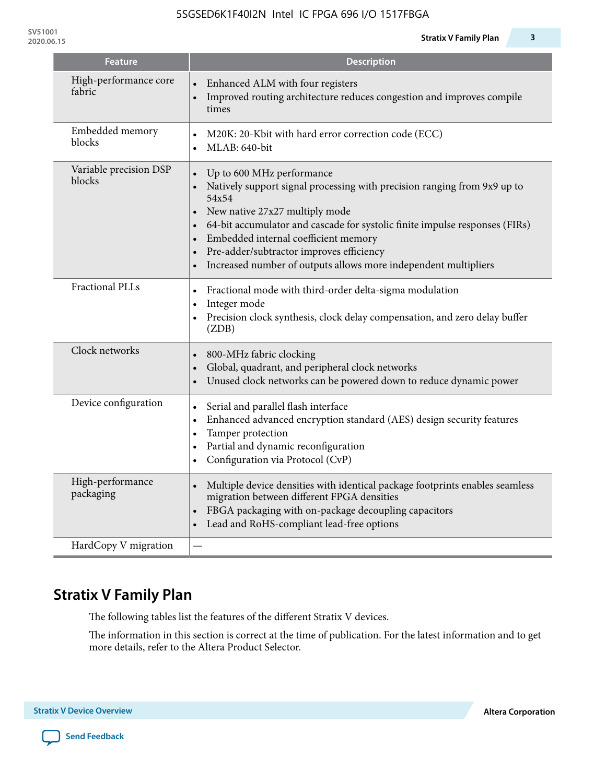| <b>Feature</b>                   | <b>Description</b>                                                                                                                                                                                                                                                                                                                                                                                                                                      |
|----------------------------------|---------------------------------------------------------------------------------------------------------------------------------------------------------------------------------------------------------------------------------------------------------------------------------------------------------------------------------------------------------------------------------------------------------------------------------------------------------|
| High-performance core<br>fabric  | Enhanced ALM with four registers<br>Improved routing architecture reduces congestion and improves compile<br>$\bullet$<br>times                                                                                                                                                                                                                                                                                                                         |
| Embedded memory<br>blocks        | M20K: 20-Kbit with hard error correction code (ECC)<br>$\bullet$<br>MLAB: 640-bit<br>$\bullet$                                                                                                                                                                                                                                                                                                                                                          |
| Variable precision DSP<br>blocks | Up to 600 MHz performance<br>$\bullet$<br>Natively support signal processing with precision ranging from 9x9 up to<br>54x54<br>New native 27x27 multiply mode<br>$\bullet$<br>64-bit accumulator and cascade for systolic finite impulse responses (FIRs)<br>$\bullet$<br>Embedded internal coefficient memory<br>$\bullet$<br>Pre-adder/subtractor improves efficiency<br>$\bullet$<br>Increased number of outputs allows more independent multipliers |
| <b>Fractional PLLs</b>           | Fractional mode with third-order delta-sigma modulation<br>$\bullet$<br>Integer mode<br>$\bullet$<br>Precision clock synthesis, clock delay compensation, and zero delay buffer<br>(ZDB)                                                                                                                                                                                                                                                                |
| Clock networks                   | 800-MHz fabric clocking<br>$\bullet$<br>Global, quadrant, and peripheral clock networks<br>$\bullet$<br>Unused clock networks can be powered down to reduce dynamic power<br>$\bullet$                                                                                                                                                                                                                                                                  |
| Device configuration             | Serial and parallel flash interface<br>$\bullet$<br>Enhanced advanced encryption standard (AES) design security features<br>$\bullet$<br>Tamper protection<br>٠<br>Partial and dynamic reconfiguration<br>$\bullet$<br>Configuration via Protocol (CvP)<br>$\bullet$                                                                                                                                                                                    |
| High-performance<br>packaging    | Multiple device densities with identical package footprints enables seamless<br>$\bullet$<br>migration between different FPGA densities                                                                                                                                                                                                                                                                                                                 |

# **Stratix V Family Plan**

HardCopy V migration  $|-$ 

The following tables list the features of the different Stratix V devices.

The information in this section is correct at the time of publication. For the latest information and to get more details, refer to the Altera Product Selector.

migration between different FPGA densities

Lead and RoHS-compliant lead-free options

• FBGA packaging with on-package decoupling capacitors

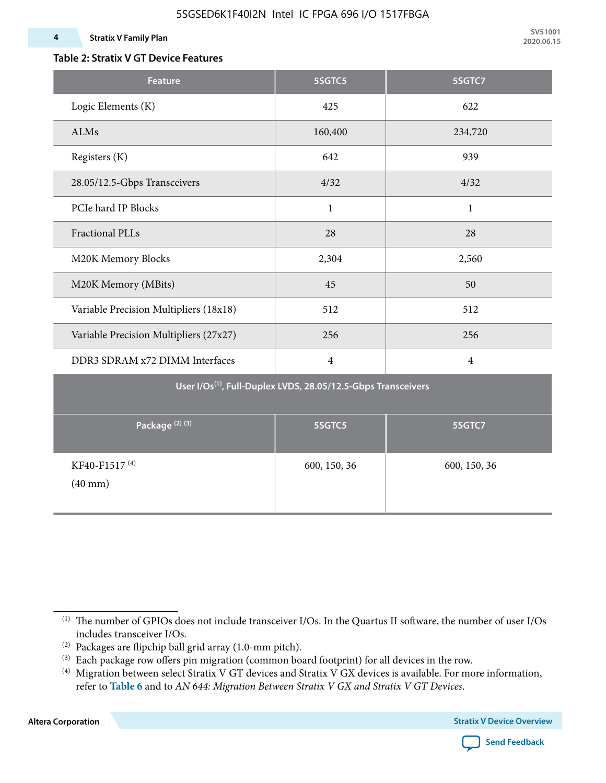### **Table 2: Stratix V GT Device Features**

| <b>Feature</b>                                 | 5SGTC5                                                                    | 5SGTC7         |
|------------------------------------------------|---------------------------------------------------------------------------|----------------|
| Logic Elements (K)                             | 425                                                                       | 622            |
| ALMs                                           | 160,400                                                                   | 234,720        |
| Registers (K)                                  | 642                                                                       | 939            |
| 28.05/12.5-Gbps Transceivers                   | 4/32                                                                      | 4/32           |
| PCIe hard IP Blocks                            | $\mathbf{1}$                                                              | $\mathbf{1}$   |
| <b>Fractional PLLs</b>                         | 28                                                                        | 28             |
| M20K Memory Blocks                             | 2,304                                                                     | 2,560          |
| M20K Memory (MBits)                            | 45                                                                        | 50             |
| Variable Precision Multipliers (18x18)         | 512                                                                       | 512            |
| Variable Precision Multipliers (27x27)         | 256                                                                       | 256            |
| DDR3 SDRAM x72 DIMM Interfaces                 | $\overline{4}$                                                            | $\overline{4}$ |
|                                                | User I/Os <sup>(1)</sup> , Full-Duplex LVDS, 28.05/12.5-Gbps Transceivers |                |
| Package <sup>(2)</sup> <sup>(3)</sup>          | 5SGTC5                                                                    | 5SGTC7         |
| KF40-F1517 <sup>(4)</sup><br>$(40 \text{ mm})$ | 600, 150, 36                                                              | 600, 150, 36   |

**Altera Corporation** 



<sup>(1)</sup> The number of GPIOs does not include transceiver I/Os. In the Quartus II software, the number of user I/Os includes transceiver I/Os.

 $^{(2)}$  Packages are flipchip ball grid array (1.0-mm pitch).

<sup>(3)</sup> Each package row offers pin migration (common board footprint) for all devices in the row.

<sup>(4)</sup> Migration between select Stratix V GT devices and Stratix V GX devices is available. For more information, refer to **Table 6** and to *AN 644: Migration Between Stratix V GX and Stratix V GT Devices*.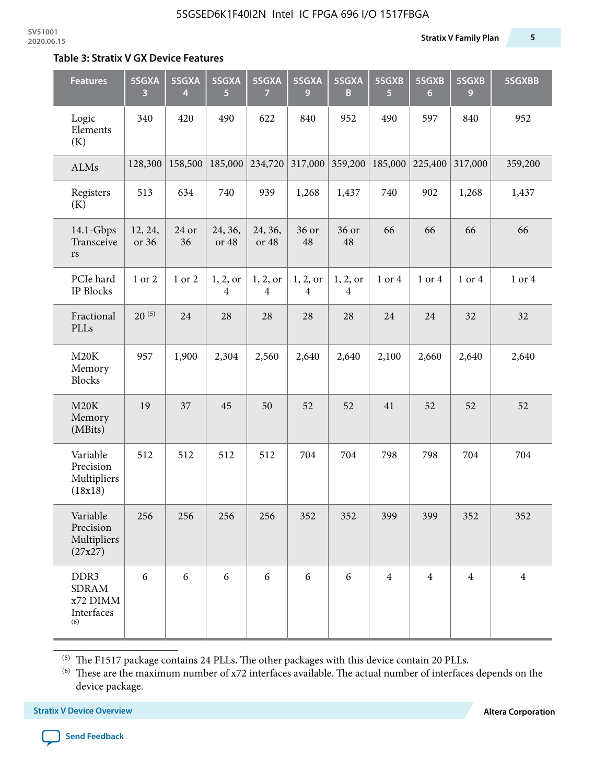#### **Table 3: Stratix V GX Device Features**

| <b>Features</b>                                       | 5SGXA<br>3       | 5SGXA<br>4  | 5SGXA<br>5                 | 5SGXA<br>$\overline{7}$    | 5SGXA<br>9                 | 5SGXA<br>B                 | 5SGXB<br>5     | 5SGXB<br>$6\phantom{1}6$ | 5SGXB<br>9     | 5SGXBB         |
|-------------------------------------------------------|------------------|-------------|----------------------------|----------------------------|----------------------------|----------------------------|----------------|--------------------------|----------------|----------------|
| Logic<br>Elements<br>(K)                              | 340              | 420         | 490                        | 622                        | 840                        | 952                        | 490            | 597                      | 840            | 952            |
| ALMs                                                  | 128,300          | 158,500     | 185,000                    | 234,720                    | 317,000                    | 359,200                    | 185,000        | 225,400                  | 317,000        | 359,200        |
| Registers<br>(K)                                      | 513              | 634         | 740                        | 939                        | 1,268                      | 1,437                      | 740            | 902                      | 1,268          | 1,437          |
| 14.1-Gbps<br>Transceive<br>rs                         | 12, 24,<br>or 36 | 24 or<br>36 | 24, 36,<br>or 48           | 24, 36,<br>or 48           | 36 or<br>48                | 36 or<br>48                | 66             | 66                       | 66             | 66             |
| PCIe hard<br>IP Blocks                                | 1 or 2           | 1 or 2      | 1, 2, or<br>$\overline{4}$ | 1, 2, or<br>$\overline{4}$ | 1, 2, or<br>$\overline{4}$ | 1, 2, or<br>$\overline{4}$ | 1 or 4         | 1 or 4                   | 1 or 4         | 1 or 4         |
| Fractional<br>PLLs                                    | $20^{(5)}$       | 24          | 28                         | 28                         | 28                         | 28                         | 24             | 24                       | 32             | 32             |
| M20K<br>Memory<br><b>Blocks</b>                       | 957              | 1,900       | 2,304                      | 2,560                      | 2,640                      | 2,640                      | 2,100          | 2,660                    | 2,640          | 2,640          |
| M20K<br>Memory<br>(MBits)                             | 19               | 37          | 45                         | 50                         | 52                         | 52                         | 41             | 52                       | 52             | 52             |
| Variable<br>Precision<br>Multipliers<br>(18x18)       | 512              | 512         | 512                        | 512                        | 704                        | 704                        | 798            | 798                      | 704            | 704            |
| Variable<br>Precision<br>Multipliers<br>(27x27)       | 256              | 256         | 256                        | 256                        | 352                        | 352                        | 399            | 399                      | 352            | 352            |
| DDR3<br><b>SDRAM</b><br>x72 DIMM<br>Interfaces<br>(6) | 6                | 6           | 6                          | 6                          | 6                          | 6                          | $\overline{4}$ | $\overline{4}$           | $\overline{4}$ | $\overline{4}$ |

 $^{\left(5\right)}$  The F1517 package contains 24 PLLs. The other packages with this device contain 20 PLLs.

(6) These are the maximum number of x72 interfaces available. The actual number of interfaces depends on the device package.

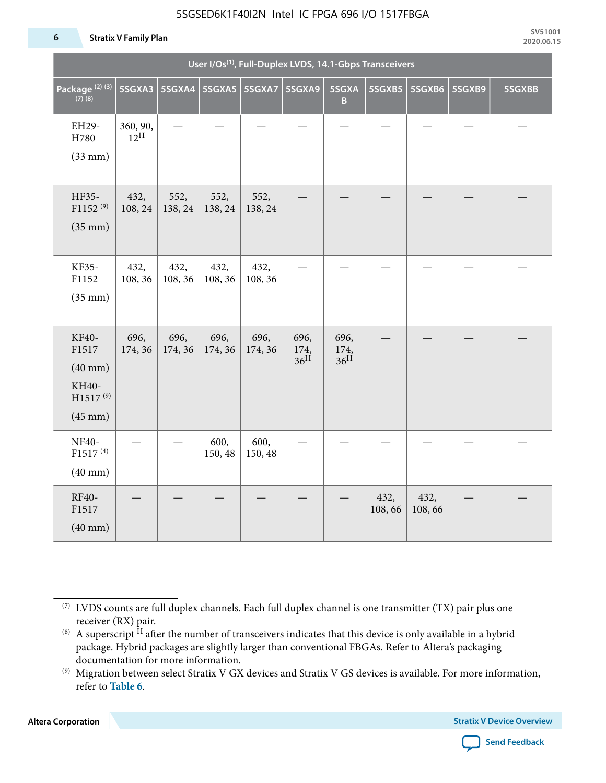#### 5SGSED6K1F40I2N Intel IC FPGA 696 I/O 1517FBGA

#### **6 Stratix V Family Plan**

|                                                                                      |                             |                          |                 |                 | User I/Os <sup>(1)</sup> , Full-Duplex LVDS, 14.1-Gbps Transceivers |                                 |                |                |        |        |
|--------------------------------------------------------------------------------------|-----------------------------|--------------------------|-----------------|-----------------|---------------------------------------------------------------------|---------------------------------|----------------|----------------|--------|--------|
| Package <sup>(2)(3)</sup><br>$(7)$ (8)                                               | 5SGXA3                      | 5SGXA4   5SGXA5   5SGXA7 |                 |                 | 5SGXA9                                                              | 5SGXA<br>$\overline{B}$         | 5SGXB5         | 5SGXB6         | 5SGXB9 | 5SGXBB |
| EH29-<br>H780<br>$(33$ mm $)$                                                        | 360, 90,<br>$12^{\text{H}}$ |                          |                 |                 |                                                                     |                                 |                |                |        |        |
| HF35-<br>$F1152^{(9)}$<br>$(35 \text{ mm})$                                          | 432,<br>108, 24             | 552,<br>138, 24          | 552,<br>138, 24 | 552,<br>138, 24 |                                                                     |                                 |                |                |        |        |
| KF35-<br>F1152<br>$(35$ mm $)$                                                       | 432,<br>108, 36             | 432,<br>108, 36          | 432,<br>108, 36 | 432,<br>108, 36 |                                                                     |                                 |                |                |        |        |
| KF40-<br>F1517<br>$(40$ mm $)$<br>KH40-<br>H1517 <sup>(9)</sup><br>$(45 \text{ mm})$ | 696,<br>174, 36             | 696,<br>174, 36          | 696,<br>174, 36 | 696,<br>174, 36 | 696,<br>174,<br>36 <sup>H</sup>                                     | 696,<br>174,<br>36 <sup>H</sup> |                |                |        |        |
| <b>NF40-</b><br>F1517 <sup>(4)</sup><br>$(40$ mm $)$                                 |                             |                          | 600,<br>150, 48 | 600,<br>150, 48 |                                                                     |                                 |                |                |        |        |
| RF40-<br>F1517<br>$(40$ mm $)$                                                       |                             |                          |                 |                 |                                                                     |                                 | 432,<br>108,66 | 432,<br>108,66 |        |        |

**Altera Corporation** 



<sup>(7)</sup> LVDS counts are full duplex channels. Each full duplex channel is one transmitter (TX) pair plus one receiver (RX) pair.

<sup>(8)</sup> A superscript  $H$  after the number of transceivers indicates that this device is only available in a hybrid package. Hybrid packages are slightly larger than conventional FBGAs. Refer to Altera's packaging documentation for more information.

<sup>(9)</sup> Migration between select Stratix V GX devices and Stratix V GS devices is available. For more information, refer to **Table 6**.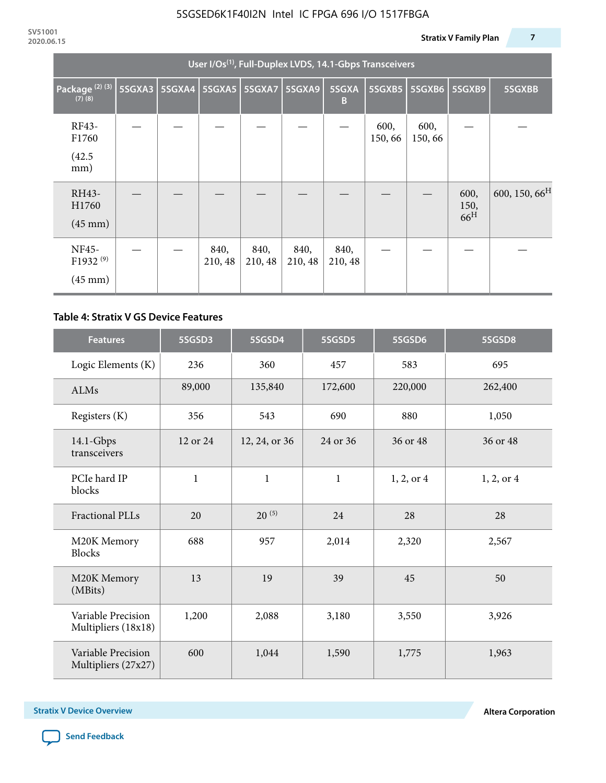|                                                    | User I/Os <sup>(1)</sup> , Full-Duplex LVDS, 14.1-Gbps Transceivers |               |                 |                 |                 |                 |                |                |                                 |                           |  |  |
|----------------------------------------------------|---------------------------------------------------------------------|---------------|-----------------|-----------------|-----------------|-----------------|----------------|----------------|---------------------------------|---------------------------|--|--|
| Package <sup>(2)(3)</sup><br>$(7)$ $(8)$           | 5SGXA3                                                              | <b>5SGXA4</b> |                 | 5SGXA5 5SGXA7   | <b>5SGXA9</b>   | 5SGXA<br>B      | 5SGXB5         | 5SGXB6         | 5SGXB9                          | 5SGXBB                    |  |  |
| RF43-<br>F1760<br>(42.5)<br>mm)                    |                                                                     |               |                 |                 |                 |                 | 600,<br>150,66 | 600,<br>150,66 |                                 |                           |  |  |
| RH43-<br>H1760<br>$(45 \text{ mm})$                |                                                                     |               |                 |                 |                 |                 |                |                | 600,<br>150,<br>66 <sup>H</sup> | 600, 150, 66 <sup>H</sup> |  |  |
| NF45-<br>F1932 <sup>(9)</sup><br>$(45 \text{ mm})$ |                                                                     |               | 840,<br>210, 48 | 840,<br>210, 48 | 840,<br>210, 48 | 840,<br>210, 48 |                |                |                                 |                           |  |  |

### **Table 4: Stratix V GS Device Features**

| <b>Features</b>                           | 5SGSD3           | 5SGSD4        | 5SGSD5       | 5SGSD6     | 5SGSD8     |
|-------------------------------------------|------------------|---------------|--------------|------------|------------|
| Logic Elements (K)                        | 236              | 360           | 457          | 583        | 695        |
| <b>ALMs</b>                               | 89,000           | 135,840       | 172,600      | 220,000    | 262,400    |
| Registers (K)                             | 356              | 543           | 690          | 880        | 1,050      |
| $14.1$ -Gbps<br>transceivers              | 12 or 24         | 12, 24, or 36 | 24 or 36     | 36 or 48   | 36 or 48   |
| PCIe hard IP<br>blocks                    | $\mathbf{1}$     | $\mathbf{1}$  | $\mathbf{1}$ | 1, 2, or 4 | 1, 2, or 4 |
| <b>Fractional PLLs</b>                    | $20^{(5)}$<br>20 |               | 24           | 28         | 28         |
| M20K Memory<br><b>Blocks</b>              | 688              |               | 2,014        | 2,320      | 2,567      |
| M20K Memory<br>(MBits)                    | 13               |               | 39           | 45         | 50         |
| Variable Precision<br>Multipliers (18x18) | 1,200<br>2,088   |               | 3,180        | 3,550      | 3,926      |
| Variable Precision<br>Multipliers (27x27) | 600              | 1,044         | 1,590        | 1,775      | 1,963      |

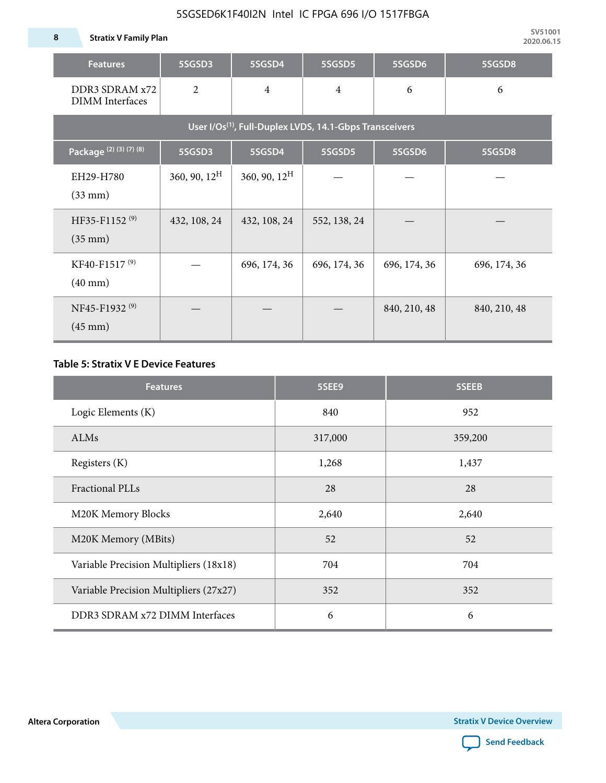### 5SGSED6K1F40I2N Intel IC FPGA 696 I/O 1517FBGA

| <b>Features</b>                                                     | 5SGSD3                   | 5SGSD4          | 5SGSD5         | 5SGSD6       | 5SGSD8       |  |  |  |  |
|---------------------------------------------------------------------|--------------------------|-----------------|----------------|--------------|--------------|--|--|--|--|
| DDR3 SDRAM x72<br><b>DIMM</b> Interfaces                            | $\overline{2}$           | $\overline{4}$  | $\overline{4}$ | 6            | 6            |  |  |  |  |
| User I/Os <sup>(1)</sup> , Full-Duplex LVDS, 14.1-Gbps Transceivers |                          |                 |                |              |              |  |  |  |  |
| Package (2) (3) (7) (8)                                             | 5SGSD3                   | 5SGSD4          | 5SGSD5         | 5SGSD6       | 5SGSD8       |  |  |  |  |
| EH29-H780<br>$(33$ mm $)$                                           | $360, 90, 12^{\text{H}}$ | 360, 90, $12^H$ |                |              |              |  |  |  |  |
| HF35-F1152 <sup>(9)</sup><br>$(35 \text{ mm})$                      | 432, 108, 24             | 432, 108, 24    | 552, 138, 24   |              |              |  |  |  |  |
| KF40-F1517 <sup>(9)</sup><br>$(40 \text{ mm})$                      |                          | 696, 174, 36    | 696, 174, 36   | 696, 174, 36 | 696, 174, 36 |  |  |  |  |
| NF45-F1932 <sup>(9)</sup><br>$(45 \text{ mm})$                      |                          |                 |                | 840, 210, 48 | 840, 210, 48 |  |  |  |  |

### **Table 5: Stratix V E Device Features**

| <b>Features</b>                        | 5SEE9   | 5SEEB   |
|----------------------------------------|---------|---------|
| Logic Elements (K)                     | 840     | 952     |
| ALMs                                   | 317,000 | 359,200 |
| Registers (K)                          | 1,268   | 1,437   |
| <b>Fractional PLLs</b>                 | 28      | 28      |
| M20K Memory Blocks                     | 2,640   | 2,640   |
| M20K Memory (MBits)                    | 52      | 52      |
| Variable Precision Multipliers (18x18) | 704     | 704     |
| Variable Precision Multipliers (27x27) | 352     | 352     |
| DDR3 SDRAM x72 DIMM Interfaces         | 6       | 6       |

**Altera Corporation** 

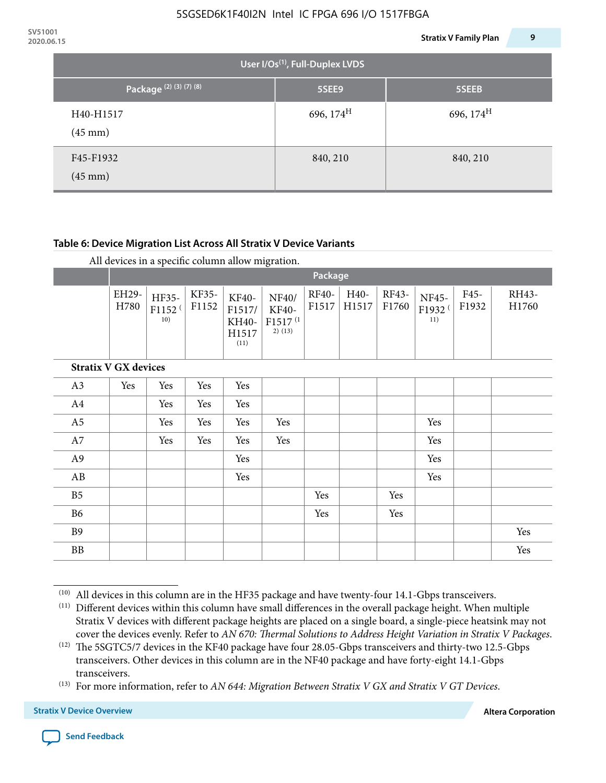| 2020.06.15 |                                |                                             | 9<br><b>Stratix V Family Plan</b> |
|------------|--------------------------------|---------------------------------------------|-----------------------------------|
|            |                                | User I/Os <sup>(1)</sup> , Full-Duplex LVDS |                                   |
|            | Package (2) (3) (7) (8)        | 5SEE9                                       | 5SEEB                             |
|            | H40-H1517<br>$(45 \text{ mm})$ | 696, $174^H$                                | 696, $174^{\text{H}}$             |
|            | F45-F1932<br>$(45 \text{ mm})$ | 840, 210                                    | 840, 210                          |

### **Table 6: Device Migration List Across All Stratix V Device Variants**

|  |  | All devices in a specific column allow migration. |
|--|--|---------------------------------------------------|
|--|--|---------------------------------------------------|

|                             |               | Package                            |                |                                           |                                                    |                       |               |                |                                    |               |                |
|-----------------------------|---------------|------------------------------------|----------------|-------------------------------------------|----------------------------------------------------|-----------------------|---------------|----------------|------------------------------------|---------------|----------------|
|                             | EH29-<br>H780 | HF35-<br>F1152 <sup>(</sup><br>10) | KF35-<br>F1152 | KF40-<br>F1517/<br>KH40-<br>H1517<br>(11) | NF40/<br>KF40-<br>F1517 <sup>(1</sup><br>$2)$ (13) | <b>RF40-</b><br>F1517 | H40-<br>H1517 | RF43-<br>F1760 | NF45-<br>F1932 <sup>(</sup><br>11) | F45-<br>F1932 | RH43-<br>H1760 |
| <b>Stratix V GX devices</b> |               |                                    |                |                                           |                                                    |                       |               |                |                                    |               |                |
| A3                          | Yes           | Yes                                | Yes            | Yes                                       |                                                    |                       |               |                |                                    |               |                |
| A4                          |               | Yes                                | Yes            | Yes                                       |                                                    |                       |               |                |                                    |               |                |
| A <sub>5</sub>              |               | Yes                                | Yes            | Yes                                       | Yes                                                |                       |               |                | Yes                                |               |                |
| A7                          |               | Yes                                | Yes            | Yes                                       | Yes                                                |                       |               |                | Yes                                |               |                |
| A9                          |               |                                    |                | Yes                                       |                                                    |                       |               |                | Yes                                |               |                |
| AB                          |               |                                    |                | Yes                                       |                                                    |                       |               |                | Yes                                |               |                |
| B <sub>5</sub>              |               |                                    |                |                                           |                                                    | Yes                   |               | Yes            |                                    |               |                |
| <b>B6</b>                   |               |                                    |                |                                           |                                                    | Yes                   |               | Yes            |                                    |               |                |
| <b>B9</b>                   |               |                                    |                |                                           |                                                    |                       |               |                |                                    |               | Yes            |
| <b>BB</b>                   |               |                                    |                |                                           |                                                    |                       |               |                |                                    |               | Yes            |

 $(10)$  All devices in this column are in the HF35 package and have twenty-four 14.1-Gbps transceivers.



<sup>(11)</sup> Different devices within this column have small differences in the overall package height. When multiple Stratix V devices with different package heights are placed on a single board, a single-piece heatsink may not cover the devices evenly. Refer to *AN 670: Thermal Solutions to Address Height Variation in Stratix V Packages*.

<sup>(12)</sup> The 5SGTC5/7 devices in the KF40 package have four 28.05-Gbps transceivers and thirty-two 12.5-Gbps transceivers. Other devices in this column are in the NF40 package and have forty-eight 14.1-Gbps transceivers.

<sup>(13)</sup> For more information, refer to *AN 644: Migration Between Stratix V GX and Stratix V GT Devices*.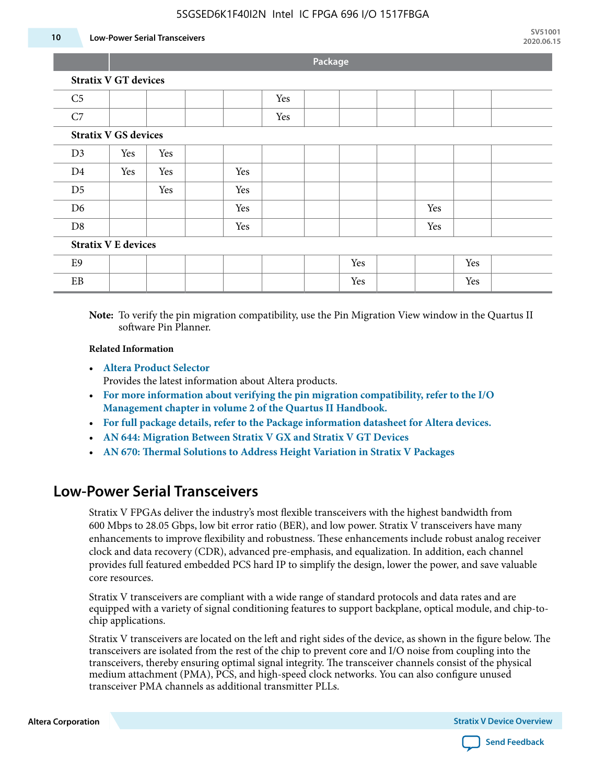### 5SGSED6K1F40I2N Intel IC FPGA 696 I/O 1517FBGA

#### **10 Low-Power Serial Transceivers**

**Package**

|                             | <b>rackage</b>                                                                                      |     |  |     |     |  |     |  |     |     |  |  |
|-----------------------------|-----------------------------------------------------------------------------------------------------|-----|--|-----|-----|--|-----|--|-----|-----|--|--|
| <b>Stratix V GT devices</b> |                                                                                                     |     |  |     |     |  |     |  |     |     |  |  |
| C <sub>5</sub>              |                                                                                                     |     |  |     | Yes |  |     |  |     |     |  |  |
| C7                          |                                                                                                     |     |  |     | Yes |  |     |  |     |     |  |  |
| <b>Stratix V GS devices</b> |                                                                                                     |     |  |     |     |  |     |  |     |     |  |  |
| D <sub>3</sub>              | Yes                                                                                                 | Yes |  |     |     |  |     |  |     |     |  |  |
| D <sub>4</sub>              | Yes                                                                                                 | Yes |  | Yes |     |  |     |  |     |     |  |  |
| D <sub>5</sub>              |                                                                                                     | Yes |  | Yes |     |  |     |  |     |     |  |  |
| D <sub>6</sub>              |                                                                                                     |     |  | Yes |     |  |     |  | Yes |     |  |  |
| D <sub>8</sub>              |                                                                                                     |     |  | Yes |     |  |     |  | Yes |     |  |  |
| <b>Stratix V E devices</b>  |                                                                                                     |     |  |     |     |  |     |  |     |     |  |  |
| E9                          |                                                                                                     |     |  |     |     |  | Yes |  |     | Yes |  |  |
| EB                          |                                                                                                     |     |  |     |     |  | Yes |  |     | Yes |  |  |
|                             | Note: To verify the pin migration compatibility use the Din Migration View window in the Quartus II |     |  |     |     |  |     |  |     |     |  |  |

**Note:** To verify the pin migration compatibility, use the Pin Migration View window in the Quartus II software Pin Planner.

#### **Related Information**

• **[Altera Product Selector](http://www.altera.com/products/selector/psg-selector.html#)**

Provides the latest information about Altera products.

- **[For more information about verifying the pin migration compatibility, refer to the I/O](http://www.altera.com/literature/hb/qts/qts_qii52013.pdf) [Management chapter in volume 2 of the Quartus II Handbook.](http://www.altera.com/literature/hb/qts/qts_qii52013.pdf)**
- **[For full package details, refer to the Package information datasheet for Altera devices.](http://www.altera.com/support/devices/packaging/specifications/pkg-pin/spe-index.jsp)**
- **[AN 644: Migration Between Stratix V GX and Stratix V GT Devices](http://www.altera.com/literature/an/an644.pdf)**
- **[AN 670: Thermal Solutions to Address Height Variation in Stratix V Packages](http://www.altera.com/literature/an/an670.pdf)**

# **Low-Power Serial Transceivers**

Stratix V FPGAs deliver the industry's most flexible transceivers with the highest bandwidth from 600 Mbps to 28.05 Gbps, low bit error ratio (BER), and low power. Stratix V transceivers have many enhancements to improve flexibility and robustness. These enhancements include robust analog receiver clock and data recovery (CDR), advanced pre-emphasis, and equalization. In addition, each channel provides full featured embedded PCS hard IP to simplify the design, lower the power, and save valuable core resources.

Stratix V transceivers are compliant with a wide range of standard protocols and data rates and are equipped with a variety of signal conditioning features to support backplane, optical module, and chip-tochip applications.

Stratix V transceivers are located on the left and right sides of the device, as shown in the figure below. The transceivers are isolated from the rest of the chip to prevent core and I/O noise from coupling into the transceivers, thereby ensuring optimal signal integrity. The transceiver channels consist of the physical medium attachment (PMA), PCS, and high-speed clock networks. You can also configure unused transceiver PMA channels as additional transmitter PLLs.

**Altera Corporation Stratix V Device Overview**

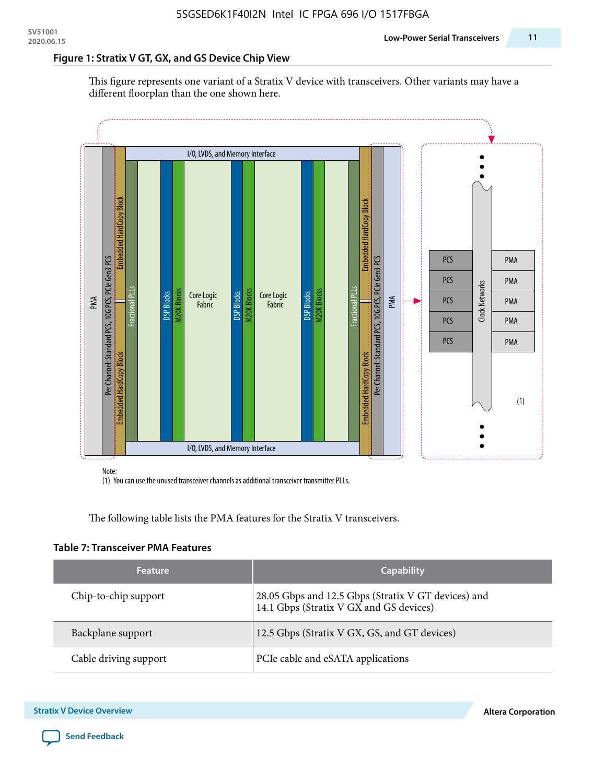### **Figure 1: Stratix V GT, GX, and GS Device Chip View**

This figure represents one variant of a Stratix V device with transceivers. Other variants may have a different floorplan than the one shown here.



(1) You can use the unused transceiver channels as additional transceiver transmitter PLLs.

The following table lists the PMA features for the Stratix V transceivers.

#### **Table 7: Transceiver PMA Features**

| <b>Feature</b>        | <b>Capability</b>                                                                              |
|-----------------------|------------------------------------------------------------------------------------------------|
| Chip-to-chip support  | 28.05 Gbps and 12.5 Gbps (Stratix V GT devices) and<br>14.1 Gbps (Stratix V GX and GS devices) |
| Backplane support     | 12.5 Gbps (Stratix V GX, GS, and GT devices)                                                   |
| Cable driving support | PCIe cable and eSATA applications                                                              |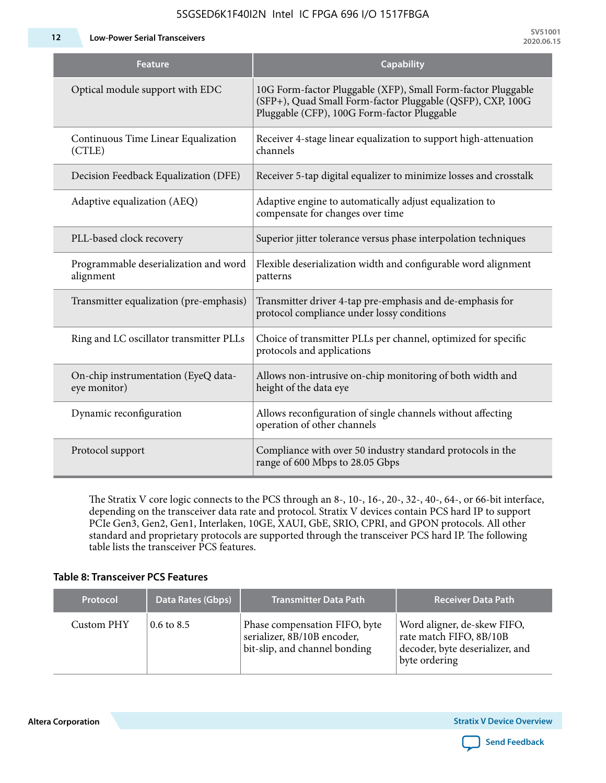**12 Low-Power Serial Transceivers**

**SV51001 2020.06.15**

| Feature                                             | <b>Capability</b>                                                                                                                                                         |
|-----------------------------------------------------|---------------------------------------------------------------------------------------------------------------------------------------------------------------------------|
| Optical module support with EDC                     | 10G Form-factor Pluggable (XFP), Small Form-factor Pluggable<br>(SFP+), Quad Small Form-factor Pluggable (QSFP), CXP, 100G<br>Pluggable (CFP), 100G Form-factor Pluggable |
| Continuous Time Linear Equalization<br>(CTLE)       | Receiver 4-stage linear equalization to support high-attenuation<br>channels                                                                                              |
| Decision Feedback Equalization (DFE)                | Receiver 5-tap digital equalizer to minimize losses and crosstalk                                                                                                         |
| Adaptive equalization (AEQ)                         | Adaptive engine to automatically adjust equalization to<br>compensate for changes over time                                                                               |
| PLL-based clock recovery                            | Superior jitter tolerance versus phase interpolation techniques                                                                                                           |
| Programmable deserialization and word<br>alignment  | Flexible deserialization width and configurable word alignment<br>patterns                                                                                                |
| Transmitter equalization (pre-emphasis)             | Transmitter driver 4-tap pre-emphasis and de-emphasis for<br>protocol compliance under lossy conditions                                                                   |
| Ring and LC oscillator transmitter PLLs             | Choice of transmitter PLLs per channel, optimized for specific<br>protocols and applications                                                                              |
| On-chip instrumentation (EyeQ data-<br>eye monitor) | Allows non-intrusive on-chip monitoring of both width and<br>height of the data eye                                                                                       |
| Dynamic reconfiguration                             | Allows reconfiguration of single channels without affecting<br>operation of other channels                                                                                |
| Protocol support                                    | Compliance with over 50 industry standard protocols in the<br>range of 600 Mbps to 28.05 Gbps                                                                             |

5SGSED6K1F40I2N Intel IC FPGA 696 I/O 1517FBGA

The Stratix V core logic connects to the PCS through an 8-, 10-, 16-, 20-, 32-, 40-, 64-, or 66-bit interface, depending on the transceiver data rate and protocol. Stratix V devices contain PCS hard IP to support PCIe Gen3, Gen2, Gen1, Interlaken, 10GE, XAUI, GbE, SRIO, CPRI, and GPON protocols. All other standard and proprietary protocols are supported through the transceiver PCS hard IP. The following table lists the transceiver PCS features.

### **Table 8: Transceiver PCS Features**

| <b>Protocol</b> | Data Rates (Gbps)     | <b>Transmitter Data Path</b>                                                                  | <b>Receiver Data Path</b>                                                                                  |
|-----------------|-----------------------|-----------------------------------------------------------------------------------------------|------------------------------------------------------------------------------------------------------------|
| Custom PHY      | $0.6 \text{ to } 8.5$ | Phase compensation FIFO, byte<br>serializer, 8B/10B encoder,<br>bit-slip, and channel bonding | Word aligner, de-skew FIFO,<br>rate match FIFO, 8B/10B<br>decoder, byte deserializer, and<br>byte ordering |

**Altera Corporation** 

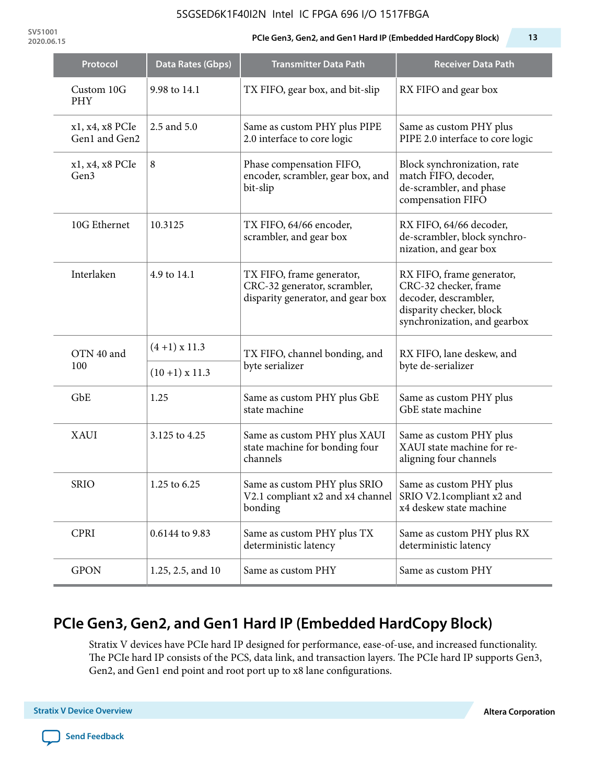### 5SGSED6K1F40I2N Intel IC FPGA 696 I/O 1517FBGA

**SV51001**

### **2020.06.15 PCIe Gen3, Gen2, and Gen1 Hard IP (Embedded HardCopy Block) 13**

| Protocol                         | Data Rates (Gbps)    | <b>Transmitter Data Path</b>                                                                   | <b>Receiver Data Path</b>                                                                                                               |  |  |
|----------------------------------|----------------------|------------------------------------------------------------------------------------------------|-----------------------------------------------------------------------------------------------------------------------------------------|--|--|
| Custom 10G<br>PHY                | 9.98 to 14.1         | TX FIFO, gear box, and bit-slip                                                                | RX FIFO and gear box                                                                                                                    |  |  |
| x1, x4, x8 PCIe<br>Gen1 and Gen2 | 2.5 and 5.0          | Same as custom PHY plus PIPE<br>2.0 interface to core logic                                    | Same as custom PHY plus<br>PIPE 2.0 interface to core logic                                                                             |  |  |
| x1, x4, x8 PCIe<br>Gen3          | 8                    | Phase compensation FIFO,<br>encoder, scrambler, gear box, and<br>bit-slip                      | Block synchronization, rate<br>match FIFO, decoder,<br>de-scrambler, and phase<br>compensation FIFO                                     |  |  |
| 10G Ethernet                     | 10.3125              | TX FIFO, 64/66 encoder,<br>scrambler, and gear box                                             | RX FIFO, 64/66 decoder,<br>de-scrambler, block synchro-<br>nization, and gear box                                                       |  |  |
| Interlaken                       | 4.9 to 14.1          | TX FIFO, frame generator,<br>CRC-32 generator, scrambler,<br>disparity generator, and gear box | RX FIFO, frame generator,<br>CRC-32 checker, frame<br>decoder, descrambler,<br>disparity checker, block<br>synchronization, and gearbox |  |  |
| OTN 40 and                       | $(4+1)$ x 11.3       | TX FIFO, channel bonding, and                                                                  | RX FIFO, lane deskew, and                                                                                                               |  |  |
| 100                              | $(10+1) \times 11.3$ | byte serializer                                                                                | byte de-serializer                                                                                                                      |  |  |
| GbE                              | 1.25                 | Same as custom PHY plus GbE<br>state machine                                                   | Same as custom PHY plus<br>GbE state machine                                                                                            |  |  |
| <b>XAUI</b>                      | 3.125 to 4.25        | Same as custom PHY plus XAUI<br>state machine for bonding four<br>channels                     | Same as custom PHY plus<br>XAUI state machine for re-<br>aligning four channels                                                         |  |  |
| <b>SRIO</b>                      | 1.25 to 6.25         | Same as custom PHY plus SRIO<br>V2.1 compliant x2 and x4 channel<br>bonding                    | Same as custom PHY plus<br>SRIO V2.1compliant x2 and<br>x4 deskew state machine                                                         |  |  |
| <b>CPRI</b>                      | 0.6144 to 9.83       | Same as custom PHY plus TX<br>deterministic latency                                            | Same as custom PHY plus RX<br>deterministic latency                                                                                     |  |  |
| <b>GPON</b>                      | 1.25, 2.5, and 10    | Same as custom PHY                                                                             | Same as custom PHY                                                                                                                      |  |  |

# **PCIe Gen3, Gen2, and Gen1 Hard IP (Embedded HardCopy Block)**

Stratix V devices have PCIe hard IP designed for performance, ease-of-use, and increased functionality. The PCIe hard IP consists of the PCS, data link, and transaction layers. The PCIe hard IP supports Gen3, Gen2, and Gen1 end point and root port up to x8 lane configurations.

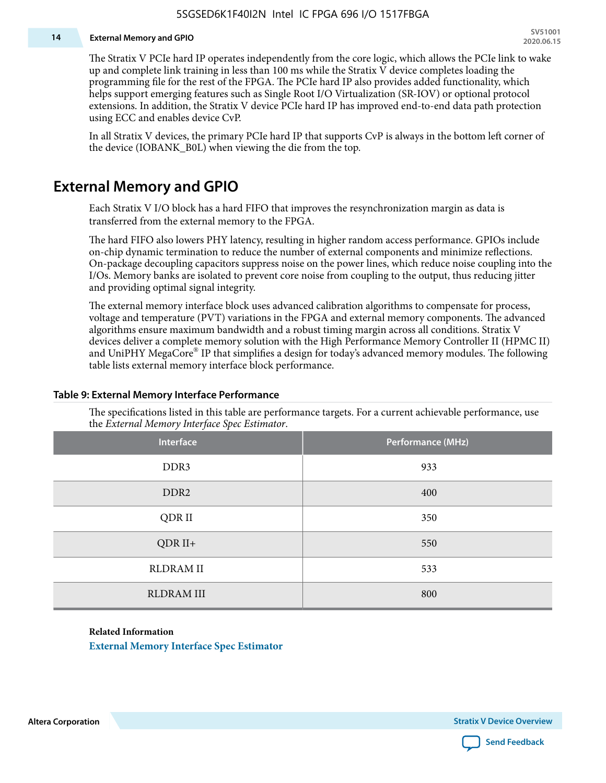#### **14 External Memory and GPIO**

The Stratix V PCIe hard IP operates independently from the core logic, which allows the PCIe link to wake up and complete link training in less than 100 ms while the Stratix V device completes loading the programming file for the rest of the FPGA. The PCIe hard IP also provides added functionality, which helps support emerging features such as Single Root I/O Virtualization (SR-IOV) or optional protocol extensions. In addition, the Stratix V device PCIe hard IP has improved end-to-end data path protection using ECC and enables device CvP.

In all Stratix V devices, the primary PCIe hard IP that supports CvP is always in the bottom left corner of the device (IOBANK\_B0L) when viewing the die from the top.

## **External Memory and GPIO**

Each Stratix V I/O block has a hard FIFO that improves the resynchronization margin as data is transferred from the external memory to the FPGA.

The hard FIFO also lowers PHY latency, resulting in higher random access performance. GPIOs include on-chip dynamic termination to reduce the number of external components and minimize reflections. On-package decoupling capacitors suppress noise on the power lines, which reduce noise coupling into the I/Os. Memory banks are isolated to prevent core noise from coupling to the output, thus reducing jitter and providing optimal signal integrity.

The external memory interface block uses advanced calibration algorithms to compensate for process, voltage and temperature (PVT) variations in the FPGA and external memory components. The advanced algorithms ensure maximum bandwidth and a robust timing margin across all conditions. Stratix V devices deliver a complete memory solution with the High Performance Memory Controller II (HPMC II) and UniPHY MegaCore® IP that simplifies a design for today's advanced memory modules. The following table lists external memory interface block performance.

| Interface         | Performance (MHz) |
|-------------------|-------------------|
| DDR3              | 933               |
| DDR <sub>2</sub>  | 400               |
| QDR II            | 350               |
| $QDR II+$         | 550               |
| <b>RLDRAM II</b>  | 533               |
| <b>RLDRAM III</b> | 800               |

#### **Table 9: External Memory Interface Performance**

The specifications listed in this table are performance targets. For a current achievable performance, use the *External Memory Interface Spec Estimator*.

#### **Related Information**

**[External Memory Interface Spec Estimator](http://www.altera.com/technology/memory/estimator/mem-emif-index.html)**

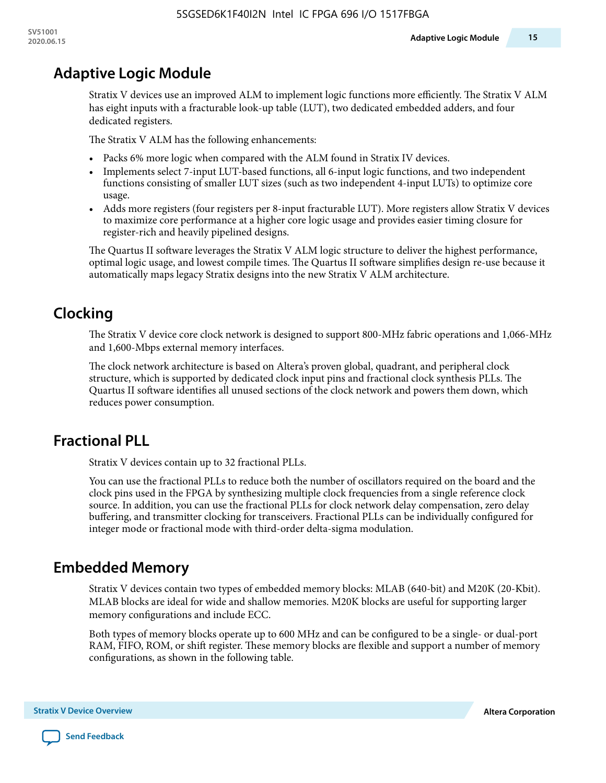# **Adaptive Logic Module**

Stratix V devices use an improved ALM to implement logic functions more efficiently. The Stratix V ALM has eight inputs with a fracturable look-up table (LUT), two dedicated embedded adders, and four dedicated registers.

The Stratix V ALM has the following enhancements:

- Packs 6% more logic when compared with the ALM found in Stratix IV devices.
- Implements select 7-input LUT-based functions, all 6-input logic functions, and two independent functions consisting of smaller LUT sizes (such as two independent 4-input LUTs) to optimize core usage.
- Adds more registers (four registers per 8-input fracturable LUT). More registers allow Stratix V devices to maximize core performance at a higher core logic usage and provides easier timing closure for register-rich and heavily pipelined designs.

The Quartus II software leverages the Stratix V ALM logic structure to deliver the highest performance, optimal logic usage, and lowest compile times. The Quartus II software simplifies design re-use because it automatically maps legacy Stratix designs into the new Stratix V ALM architecture.

# **Clocking**

The Stratix V device core clock network is designed to support 800-MHz fabric operations and 1,066-MHz and 1,600-Mbps external memory interfaces.

The clock network architecture is based on Altera's proven global, quadrant, and peripheral clock structure, which is supported by dedicated clock input pins and fractional clock synthesis PLLs. The Quartus II software identifies all unused sections of the clock network and powers them down, which reduces power consumption.

# **Fractional PLL**

Stratix V devices contain up to 32 fractional PLLs.

You can use the fractional PLLs to reduce both the number of oscillators required on the board and the clock pins used in the FPGA by synthesizing multiple clock frequencies from a single reference clock source. In addition, you can use the fractional PLLs for clock network delay compensation, zero delay buffering, and transmitter clocking for transceivers. Fractional PLLs can be individually configured for integer mode or fractional mode with third-order delta-sigma modulation.

# **Embedded Memory**

Stratix V devices contain two types of embedded memory blocks: MLAB (640-bit) and M20K (20-Kbit). MLAB blocks are ideal for wide and shallow memories. M20K blocks are useful for supporting larger memory configurations and include ECC.

Both types of memory blocks operate up to 600 MHz and can be configured to be a single- or dual-port RAM, FIFO, ROM, or shift register. These memory blocks are flexible and support a number of memory configurations, as shown in the following table.

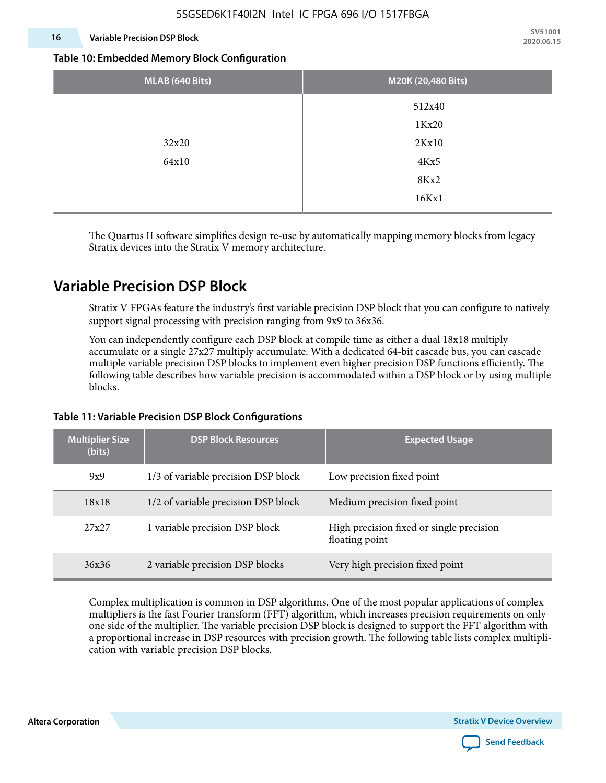### **16 Variable Precision DSP Block**

**SV51001 2020.06.15**

#### **Table 10: Embedded Memory Block Configuration**

| MLAB (640 Bits) | M20K (20,480 Bits) |
|-----------------|--------------------|
|                 | 512x40             |
|                 | 1Kx20              |
| 32x20           | 2Kx10              |
| 64x10           | 4Kx5               |
|                 | 8Kx2               |
|                 | 16Kx1              |

The Quartus II software simplifies design re-use by automatically mapping memory blocks from legacy Stratix devices into the Stratix V memory architecture.

# **Variable Precision DSP Block**

Stratix V FPGAs feature the industry's first variable precision DSP block that you can configure to natively support signal processing with precision ranging from 9x9 to 36x36.

You can independently configure each DSP block at compile time as either a dual 18x18 multiply accumulate or a single 27x27 multiply accumulate. With a dedicated 64-bit cascade bus, you can cascade multiple variable precision DSP blocks to implement even higher precision DSP functions efficiently. The following table describes how variable precision is accommodated within a DSP block or by using multiple blocks.

| <b>Multiplier Size</b><br>(bits) | <b>DSP Block Resources</b>          | <b>Expected Usage</b>                                      |  |  |
|----------------------------------|-------------------------------------|------------------------------------------------------------|--|--|
| 9x9                              | 1/3 of variable precision DSP block | Low precision fixed point                                  |  |  |
| 18x18                            | 1/2 of variable precision DSP block | Medium precision fixed point                               |  |  |
| 27x27                            | 1 variable precision DSP block      | High precision fixed or single precision<br>floating point |  |  |
| 36x36                            | 2 variable precision DSP blocks     | Very high precision fixed point                            |  |  |

### **Table 11: Variable Precision DSP Block Configurations**

Complex multiplication is common in DSP algorithms. One of the most popular applications of complex multipliers is the fast Fourier transform (FFT) algorithm, which increases precision requirements on only one side of the multiplier. The variable precision DSP block is designed to support the FFT algorithm with a proportional increase in DSP resources with precision growth. The following table lists complex multipli‐ cation with variable precision DSP blocks.

**Altera Corporation** 

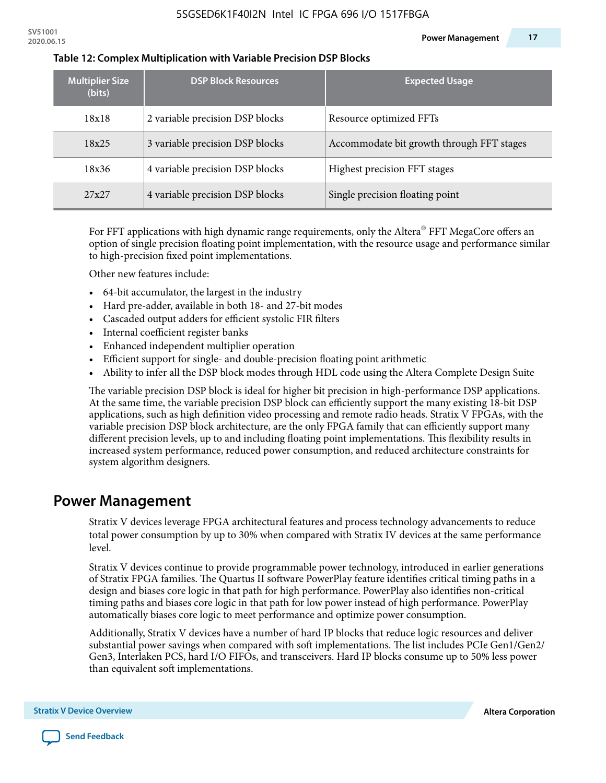| <b>Multiplier Size</b><br>(bits) | <b>DSP Block Resources</b>      | <b>Expected Usage</b>                     |
|----------------------------------|---------------------------------|-------------------------------------------|
| 18x18                            | 2 variable precision DSP blocks | Resource optimized FFTs                   |
| 18x25                            | 3 variable precision DSP blocks | Accommodate bit growth through FFT stages |
| 18x36                            | 4 variable precision DSP blocks | Highest precision FFT stages              |
| 27x27                            | 4 variable precision DSP blocks | Single precision floating point           |

#### **Table 12: Complex Multiplication with Variable Precision DSP Blocks**

For FFT applications with high dynamic range requirements, only the Altera $^\circ$  FFT MegaCore offers an option of single precision floating point implementation, with the resource usage and performance similar to high-precision fixed point implementations.

Other new features include:

- 64-bit accumulator, the largest in the industry
- Hard pre-adder, available in both 18- and 27-bit modes
- Cascaded output adders for efficient systolic FIR filters
- Internal coefficient register banks
- Enhanced independent multiplier operation
- Efficient support for single- and double-precision floating point arithmetic
- Ability to infer all the DSP block modes through HDL code using the Altera Complete Design Suite

The variable precision DSP block is ideal for higher bit precision in high-performance DSP applications. At the same time, the variable precision DSP block can efficiently support the many existing 18-bit DSP applications, such as high definition video processing and remote radio heads. Stratix V FPGAs, with the variable precision DSP block architecture, are the only FPGA family that can efficiently support many different precision levels, up to and including floating point implementations. This flexibility results in increased system performance, reduced power consumption, and reduced architecture constraints for system algorithm designers.

### **Power Management**

Stratix V devices leverage FPGA architectural features and process technology advancements to reduce total power consumption by up to 30% when compared with Stratix IV devices at the same performance level.

Stratix V devices continue to provide programmable power technology, introduced in earlier generations of Stratix FPGA families. The Quartus II software PowerPlay feature identifies critical timing paths in a design and biases core logic in that path for high performance. PowerPlay also identifies non-critical timing paths and biases core logic in that path for low power instead of high performance. PowerPlay automatically biases core logic to meet performance and optimize power consumption.

Additionally, Stratix V devices have a number of hard IP blocks that reduce logic resources and deliver substantial power savings when compared with soft implementations. The list includes PCIe Gen1/Gen2/ Gen3, Interlaken PCS, hard I/O FIFOs, and transceivers. Hard IP blocks consume up to 50% less power than equivalent soft implementations.

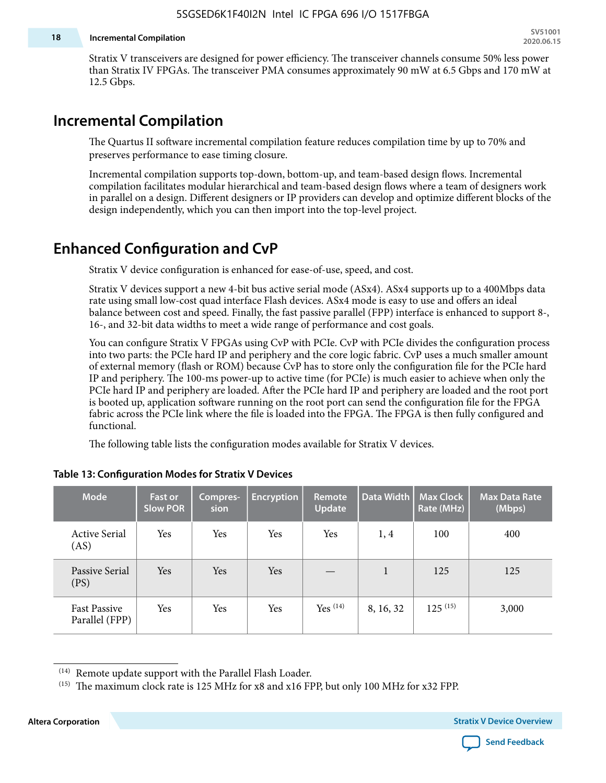#### **18 Incremental Compilation**

Stratix V transceivers are designed for power efficiency. The transceiver channels consume 50% less power than Stratix IV FPGAs. The transceiver PMA consumes approximately 90 mW at 6.5 Gbps and 170 mW at 12.5 Gbps.

# **Incremental Compilation**

The Quartus II software incremental compilation feature reduces compilation time by up to 70% and preserves performance to ease timing closure.

Incremental compilation supports top-down, bottom-up, and team-based design flows. Incremental compilation facilitates modular hierarchical and team-based design flows where a team of designers work in parallel on a design. Different designers or IP providers can develop and optimize different blocks of the design independently, which you can then import into the top-level project.

# **Enhanced Configuration and CvP**

Stratix V device configuration is enhanced for ease-of-use, speed, and cost.

Stratix V devices support a new 4-bit bus active serial mode (ASx4). ASx4 supports up to a 400Mbps data rate using small low-cost quad interface Flash devices. ASx4 mode is easy to use and offers an ideal balance between cost and speed. Finally, the fast passive parallel (FPP) interface is enhanced to support 8-, 16-, and 32-bit data widths to meet a wide range of performance and cost goals.

You can configure Stratix V FPGAs using CvP with PCIe. CvP with PCIe divides the configuration process into two parts: the PCIe hard IP and periphery and the core logic fabric. CvP uses a much smaller amount of external memory (flash or ROM) because CvP has to store only the configuration file for the PCIe hard IP and periphery. The 100-ms power-up to active time (for PCIe) is much easier to achieve when only the PCIe hard IP and periphery are loaded. After the PCIe hard IP and periphery are loaded and the root port is booted up, application software running on the root port can send the configuration file for the FPGA fabric across the PCIe link where the file is loaded into the FPGA. The FPGA is then fully configured and functional.

The following table lists the configuration modes available for Stratix V devices.

| <b>Mode</b>                           | <b>Fast or</b><br><b>Slow POR</b> | Compres-<br>sion | <b>Encryption</b> | Remote<br><b>Update</b> | Data Width   | <b>Max Clock</b><br>Rate (MHz) | <b>Max Data Rate</b><br>(Mbps) |
|---------------------------------------|-----------------------------------|------------------|-------------------|-------------------------|--------------|--------------------------------|--------------------------------|
| <b>Active Serial</b><br>(AS)          | Yes                               | Yes              | Yes               | Yes                     | 1,4          | 100                            | 400                            |
| Passive Serial<br>(PS)                | Yes                               | Yes              | Yes               |                         | $\mathbf{1}$ | 125                            | 125                            |
| <b>Fast Passive</b><br>Parallel (FPP) | Yes                               | Yes              | Yes               | $Yes$ $(14)$            | 8, 16, 32    | $125^{(15)}$                   | 3,000                          |

### **Table 13: Configuration Modes for Stratix V Devices**

**Altera Corporation Stratix V Device Overview**



<sup>(14)</sup> Remote update support with the Parallel Flash Loader.

<sup>&</sup>lt;sup>(15)</sup> The maximum clock rate is 125 MHz for x8 and x16 FPP, but only 100 MHz for x32 FPP.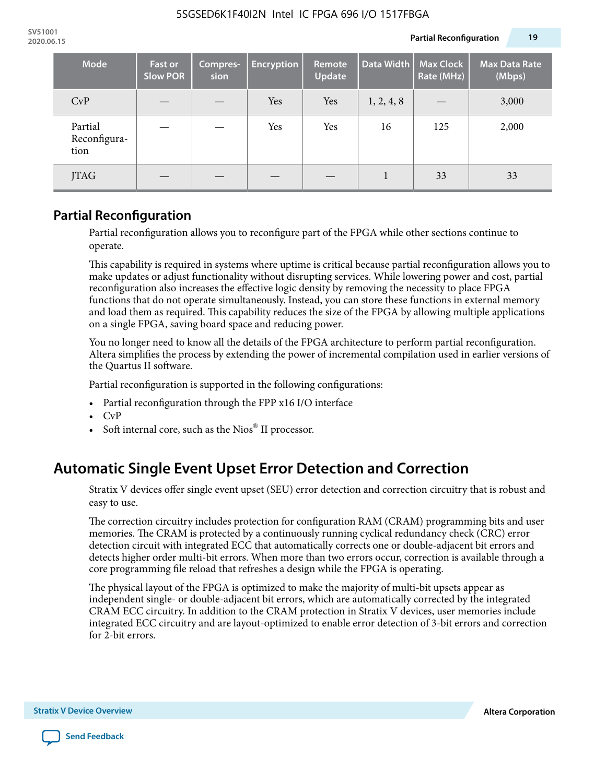| <b>Mode</b>                     | <b>Fast or</b><br><b>Slow POR</b> | Compres-<br>sion | <b>Encryption</b> | Remote<br><b>Update</b> | Data Width | <b>Max Clock</b><br>Rate (MHz) | <b>Max Data Rate</b><br>(Mbps) |
|---------------------------------|-----------------------------------|------------------|-------------------|-------------------------|------------|--------------------------------|--------------------------------|
| CvP                             |                                   |                  | Yes               | Yes                     | 1, 2, 4, 8 |                                | 3,000                          |
| Partial<br>Reconfigura-<br>tion |                                   |                  | Yes               | Yes                     | 16         | 125                            | 2,000                          |
| <b>JTAG</b>                     |                                   |                  |                   |                         | 1          | 33                             | 33                             |

### **Partial Reconfiguration**

Partial reconfiguration allows you to reconfigure part of the FPGA while other sections continue to operate.

This capability is required in systems where uptime is critical because partial reconfiguration allows you to make updates or adjust functionality without disrupting services. While lowering power and cost, partial reconfiguration also increases the effective logic density by removing the necessity to place FPGA functions that do not operate simultaneously. Instead, you can store these functions in external memory and load them as required. This capability reduces the size of the FPGA by allowing multiple applications on a single FPGA, saving board space and reducing power.

You no longer need to know all the details of the FPGA architecture to perform partial reconfiguration. Altera simplifies the process by extending the power of incremental compilation used in earlier versions of the Quartus II software.

Partial reconfiguration is supported in the following configurations:

- Partial reconfiguration through the FPP x16 I/O interface
- CvP
- Soft internal core, such as the Nios® II processor.

# **Automatic Single Event Upset Error Detection and Correction**

Stratix V devices offer single event upset (SEU) error detection and correction circuitry that is robust and easy to use.

The correction circuitry includes protection for configuration RAM (CRAM) programming bits and user memories. The CRAM is protected by a continuously running cyclical redundancy check (CRC) error detection circuit with integrated ECC that automatically corrects one or double-adjacent bit errors and detects higher order multi-bit errors. When more than two errors occur, correction is available through a core programming file reload that refreshes a design while the FPGA is operating.

The physical layout of the FPGA is optimized to make the majority of multi-bit upsets appear as independent single- or double-adjacent bit errors, which are automatically corrected by the integrated CRAM ECC circuitry. In addition to the CRAM protection in Stratix V devices, user memories include integrated ECC circuitry and are layout-optimized to enable error detection of 3-bit errors and correction for 2-bit errors.

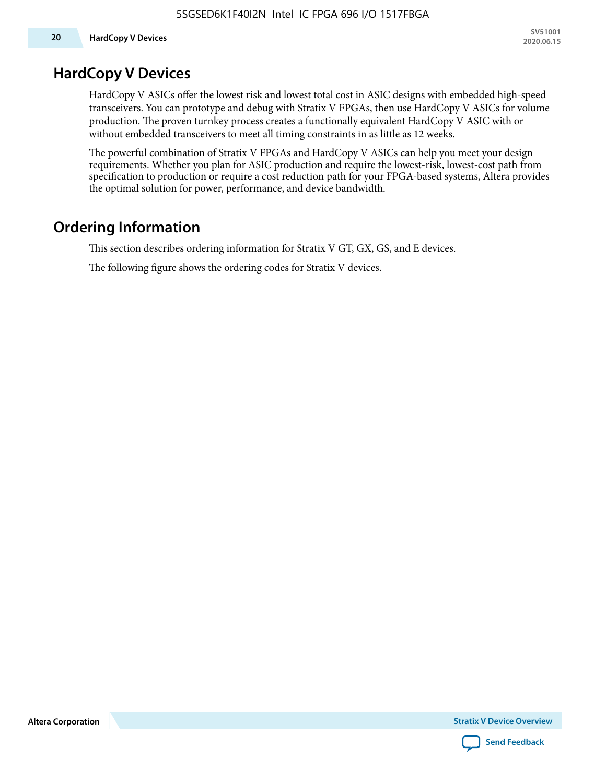# **HardCopy V Devices**

HardCopy V ASICs offer the lowest risk and lowest total cost in ASIC designs with embedded high-speed transceivers. You can prototype and debug with Stratix V FPGAs, then use HardCopy V ASICs for volume production. The proven turnkey process creates a functionally equivalent HardCopy V ASIC with or without embedded transceivers to meet all timing constraints in as little as 12 weeks.

The powerful combination of Stratix V FPGAs and HardCopy V ASICs can help you meet your design requirements. Whether you plan for ASIC production and require the lowest-risk, lowest-cost path from specification to production or require a cost reduction path for your FPGA-based systems, Altera provides the optimal solution for power, performance, and device bandwidth.

# **Ordering Information**

This section describes ordering information for Stratix V GT, GX, GS, and E devices.

The following figure shows the ordering codes for Stratix V devices.

**Altera Corporation** 

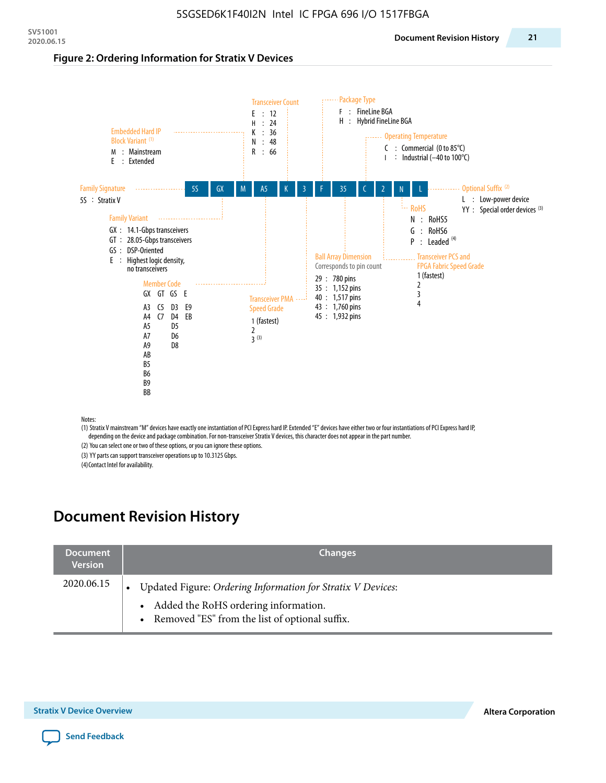#### **Figure 2: Ordering Information for Stratix V Devices**



(1) Stratix V mainstream "M" devices have exactly one instantiation of PCI Express hard IP. Extended "E" devices have either two or four instantiations of PCI Express hard IP, depending on the device and package combination. For non-transceiver Stratix V devices, this character does not appear in the part number.

(2) You can select one or two of these options, or you can ignore these options.

(3) YY parts can support transceiver operations up to 10.3125 Gbps.

(4) Contact Intel for availability.

# **Document Revision History**

| <b>Document</b><br><b>Version</b> | <b>Changes</b>                                                                                                                                            |
|-----------------------------------|-----------------------------------------------------------------------------------------------------------------------------------------------------------|
| 2020.06.15                        | Updated Figure: Ordering Information for Stratix V Devices:<br>• Added the RoHS ordering information.<br>• Removed "ES" from the list of optional suffix. |

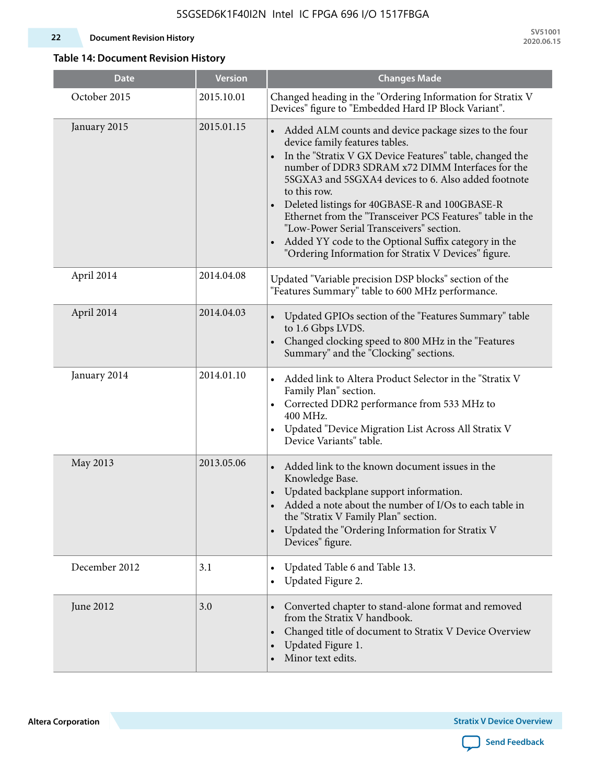### **22 Document Revision History**

**SV51001 2020.06.15**

### **Table 14: Document Revision History**

| <b>Date</b>   | <b>Version</b> | <b>Changes Made</b>                                                                                                                                                                                                                                                                                                                                                                                                                                                                                                                                                   |
|---------------|----------------|-----------------------------------------------------------------------------------------------------------------------------------------------------------------------------------------------------------------------------------------------------------------------------------------------------------------------------------------------------------------------------------------------------------------------------------------------------------------------------------------------------------------------------------------------------------------------|
| October 2015  | 2015.10.01     | Changed heading in the "Ordering Information for Stratix V<br>Devices" figure to "Embedded Hard IP Block Variant".                                                                                                                                                                                                                                                                                                                                                                                                                                                    |
| January 2015  | 2015.01.15     | Added ALM counts and device package sizes to the four<br>$\bullet$<br>device family features tables.<br>In the "Stratix V GX Device Features" table, changed the<br>number of DDR3 SDRAM x72 DIMM Interfaces for the<br>5SGXA3 and 5SGXA4 devices to 6. Also added footnote<br>to this row.<br>Deleted listings for 40GBASE-R and 100GBASE-R<br>Ethernet from the "Transceiver PCS Features" table in the<br>"Low-Power Serial Transceivers" section.<br>Added YY code to the Optional Suffix category in the<br>"Ordering Information for Stratix V Devices" figure. |
| April 2014    | 2014.04.08     | Updated "Variable precision DSP blocks" section of the<br>"Features Summary" table to 600 MHz performance.                                                                                                                                                                                                                                                                                                                                                                                                                                                            |
| April 2014    | 2014.04.03     | Updated GPIOs section of the "Features Summary" table<br>$\bullet$<br>to 1.6 Gbps LVDS.<br>Changed clocking speed to 800 MHz in the "Features<br>Summary" and the "Clocking" sections.                                                                                                                                                                                                                                                                                                                                                                                |
| January 2014  | 2014.01.10     | Added link to Altera Product Selector in the "Stratix V<br>Family Plan" section.<br>Corrected DDR2 performance from 533 MHz to<br>$\bullet$<br>400 MHz.<br>Updated "Device Migration List Across All Stratix V<br>$\bullet$<br>Device Variants" table.                                                                                                                                                                                                                                                                                                                |
| May 2013      | 2013.05.06     | Added link to the known document issues in the<br>Knowledge Base.<br>Updated backplane support information.<br>$\bullet$<br>Added a note about the number of I/Os to each table in<br>the "Stratix V Family Plan" section.<br>Updated the "Ordering Information for Stratix V<br>$\bullet$<br>Devices" figure.                                                                                                                                                                                                                                                        |
| December 2012 | 3.1            | Updated Table 6 and Table 13.<br>$\bullet$<br>Updated Figure 2.<br>$\bullet$                                                                                                                                                                                                                                                                                                                                                                                                                                                                                          |
| June 2012     | 3.0            | Converted chapter to stand-alone format and removed<br>$\bullet$<br>from the Stratix V handbook.<br>Changed title of document to Stratix V Device Overview<br>$\bullet$<br>Updated Figure 1.<br>Minor text edits.                                                                                                                                                                                                                                                                                                                                                     |

**Altera Corporation** 

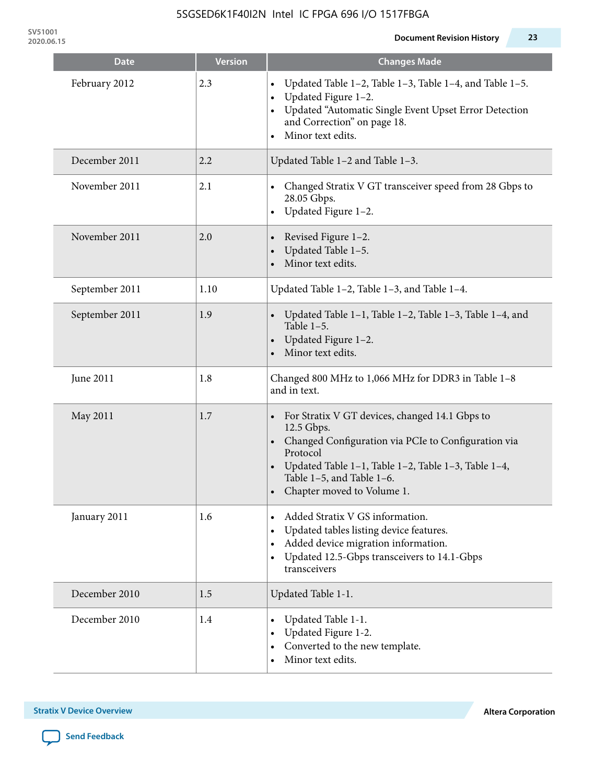**SV51001**

| Date           | <b>Version</b> | <b>Changes Made</b>                                                                                                                                                                                                                               |
|----------------|----------------|---------------------------------------------------------------------------------------------------------------------------------------------------------------------------------------------------------------------------------------------------|
| February 2012  | 2.3            | Updated Table 1-2, Table 1-3, Table 1-4, and Table 1-5.<br>Updated Figure 1-2.<br>$\bullet$<br>Updated "Automatic Single Event Upset Error Detection<br>and Correction" on page 18.<br>Minor text edits.                                          |
| December 2011  | 2.2            | Updated Table 1-2 and Table 1-3.                                                                                                                                                                                                                  |
| November 2011  | 2.1            | Changed Stratix V GT transceiver speed from 28 Gbps to<br>28.05 Gbps.<br>Updated Figure 1-2.<br>$\bullet$                                                                                                                                         |
| November 2011  | 2.0            | Revised Figure 1-2.<br>Updated Table 1-5.<br>Minor text edits.                                                                                                                                                                                    |
| September 2011 | 1.10           | Updated Table 1-2, Table 1-3, and Table 1-4.                                                                                                                                                                                                      |
| September 2011 | 1.9            | Updated Table 1–1, Table 1–2, Table 1–3, Table 1–4, and<br>Table $1-5$ .<br>Updated Figure 1-2.<br>Minor text edits.                                                                                                                              |
| June 2011      | 1.8            | Changed 800 MHz to 1,066 MHz for DDR3 in Table 1-8<br>and in text.                                                                                                                                                                                |
| May 2011       | 1.7            | For Stratix V GT devices, changed 14.1 Gbps to<br>12.5 Gbps.<br>Changed Configuration via PCIe to Configuration via<br>Protocol<br>Updated Table 1-1, Table 1-2, Table 1-3, Table 1-4,<br>Table 1-5, and Table 1-6.<br>Chapter moved to Volume 1. |
| January 2011   | 1.6            | Added Stratix V GS information.<br>Updated tables listing device features.<br>Added device migration information.<br>Updated 12.5-Gbps transceivers to 14.1-Gbps<br>transceivers                                                                  |
| December 2010  | 1.5            | Updated Table 1-1.                                                                                                                                                                                                                                |
| December 2010  | 1.4            | Updated Table 1-1.<br>Updated Figure 1-2.<br>Converted to the new template.<br>Minor text edits.                                                                                                                                                  |

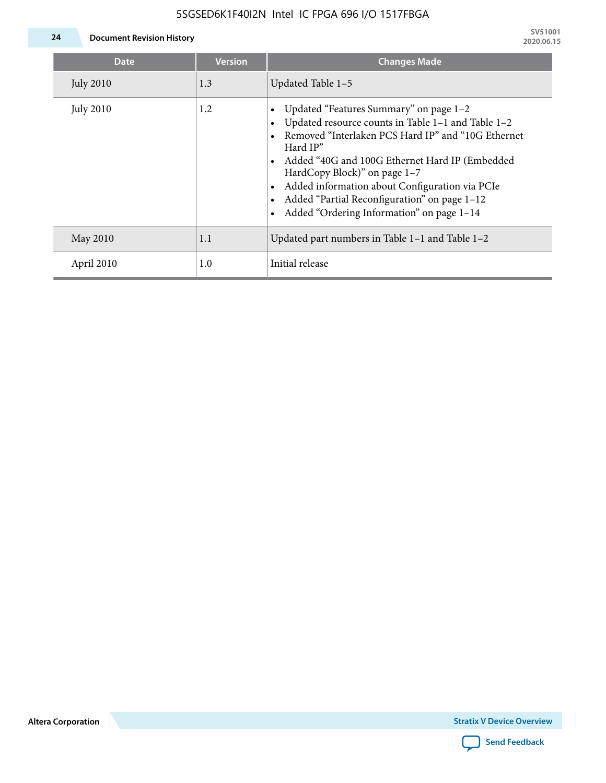### 5SGSED6K1F40I2N Intel IC FPGA 696 I/O 1517FBGA



**24 Document Revision History**

| <b>Date</b>      | <b>Version</b> | <b>Changes Made</b>                                                                                                                                                                                                                                                                                                                                                                             |
|------------------|----------------|-------------------------------------------------------------------------------------------------------------------------------------------------------------------------------------------------------------------------------------------------------------------------------------------------------------------------------------------------------------------------------------------------|
| <b>July 2010</b> | 1.3            | Updated Table 1-5                                                                                                                                                                                                                                                                                                                                                                               |
| <b>July 2010</b> | 1.2            | Updated "Features Summary" on page 1-2<br>Updated resource counts in Table 1-1 and Table 1-2<br>Removed "Interlaken PCS Hard IP" and "10G Ethernet<br>Hard IP"<br>Added "40G and 100G Ethernet Hard IP (Embedded<br>HardCopy Block)" on page 1-7<br>Added information about Configuration via PCIe<br>Added "Partial Reconfiguration" on page 1-12<br>Added "Ordering Information" on page 1-14 |
| May 2010         | 1.1            | Updated part numbers in Table $1-1$ and Table $1-2$                                                                                                                                                                                                                                                                                                                                             |
| April 2010       | 1.0            | Initial release                                                                                                                                                                                                                                                                                                                                                                                 |

**Altera Corporation**